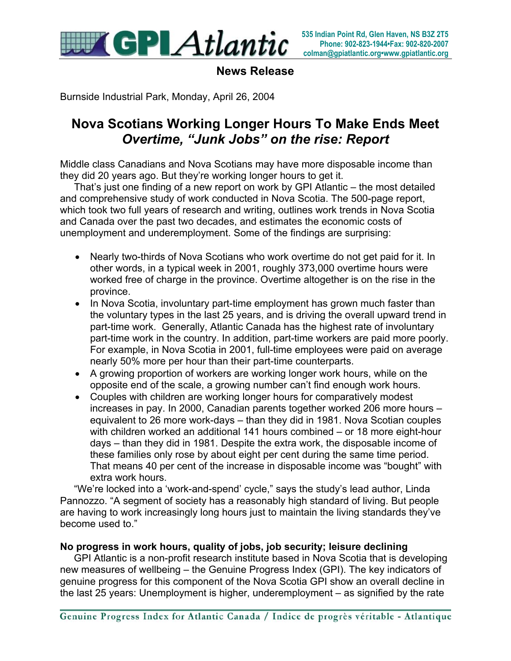

**News Release**

Burnside Industrial Park, Monday, April 26, 2004

### **Nova Scotians Working Longer Hours To Make Ends Meet** *Overtime, "Junk Jobs" on the rise: Report*

Middle class Canadians and Nova Scotians may have more disposable income than they did 20 years ago. But they're working longer hours to get it.

 That's just one finding of a new report on work by GPI Atlantic – the most detailed and comprehensive study of work conducted in Nova Scotia. The 500-page report, which took two full years of research and writing, outlines work trends in Nova Scotia and Canada over the past two decades, and estimates the economic costs of unemployment and underemployment. Some of the findings are surprising:

- Nearly two-thirds of Nova Scotians who work overtime do not get paid for it. In other words, in a typical week in 2001, roughly 373,000 overtime hours were worked free of charge in the province. Overtime altogether is on the rise in the province.
- In Nova Scotia, involuntary part-time employment has grown much faster than the voluntary types in the last 25 years, and is driving the overall upward trend in part-time work. Generally, Atlantic Canada has the highest rate of involuntary part-time work in the country. In addition, part-time workers are paid more poorly. For example, in Nova Scotia in 2001, full-time employees were paid on average nearly 50% more per hour than their part-time counterparts.
- A growing proportion of workers are working longer work hours, while on the opposite end of the scale, a growing number can't find enough work hours.
- Couples with children are working longer hours for comparatively modest increases in pay. In 2000, Canadian parents together worked 206 more hours – equivalent to 26 more work-days – than they did in 1981. Nova Scotian couples with children worked an additional 141 hours combined – or 18 more eight-hour days – than they did in 1981. Despite the extra work, the disposable income of these families only rose by about eight per cent during the same time period. That means 40 per cent of the increase in disposable income was "bought" with extra work hours.

 "We're locked into a 'work-and-spend' cycle," says the study's lead author, Linda Pannozzo. "A segment of society has a reasonably high standard of living. But people are having to work increasingly long hours just to maintain the living standards they've become used to."

### **No progress in work hours, quality of jobs, job security; leisure declining**

GPI Atlantic is a non-profit research institute based in Nova Scotia that is developing new measures of wellbeing – the Genuine Progress Index (GPI). The key indicators of genuine progress for this component of the Nova Scotia GPI show an overall decline in the last 25 years: Unemployment is higher, underemployment – as signified by the rate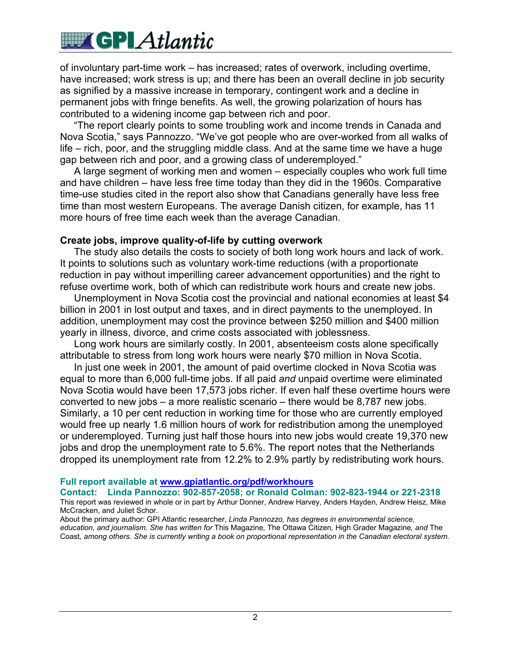## **WAX GPLAtlantic**

of involuntary part-time work – has increased; rates of overwork, including overtime, have increased; work stress is up; and there has been an overall decline in job security as signified by a massive increase in temporary, contingent work and a decline in permanent jobs with fringe benefits. As well, the growing polarization of hours has contributed to a widening income gap between rich and poor.

 "The report clearly points to some troubling work and income trends in Canada and Nova Scotia," says Pannozzo. "We've got people who are over-worked from all walks of life – rich, poor, and the struggling middle class. And at the same time we have a huge gap between rich and poor, and a growing class of underemployed."

 A large segment of working men and women – especially couples who work full time and have children – have less free time today than they did in the 1960s. Comparative time-use studies cited in the report also show that Canadians generally have less free time than most western Europeans. The average Danish citizen, for example, has 11 more hours of free time each week than the average Canadian.

### **Create jobs, improve quality-of-life by cutting overwork**

 The study also details the costs to society of both long work hours and lack of work. It points to solutions such as voluntary work-time reductions (with a proportionate reduction in pay without imperilling career advancement opportunities) and the right to refuse overtime work, both of which can redistribute work hours and create new jobs.

 Unemployment in Nova Scotia cost the provincial and national economies at least \$4 billion in 2001 in lost output and taxes, and in direct payments to the unemployed. In addition, unemployment may cost the province between \$250 million and \$400 million yearly in illness, divorce, and crime costs associated with joblessness.

 Long work hours are similarly costly. In 2001, absenteeism costs alone specifically attributable to stress from long work hours were nearly \$70 million in Nova Scotia.

 In just one week in 2001, the amount of paid overtime clocked in Nova Scotia was equal to more than 6,000 full-time jobs. If all paid *and* unpaid overtime were eliminated Nova Scotia would have been 17,573 jobs richer. If even half these overtime hours were converted to new jobs – a more realistic scenario – there would be 8,787 new jobs. Similarly, a 10 per cent reduction in working time for those who are currently employed would free up nearly 1.6 million hours of work for redistribution among the unemployed or underemployed. Turning just half those hours into new jobs would create 19,370 new jobs and drop the unemployment rate to 5.6%. The report notes that the Netherlands dropped its unemployment rate from 12.2% to 2.9% partly by redistributing work hours.

### **Full report available at www.gpiatlantic.org/pdf/workhours**

**Contact: Linda Pannozzo: 902-857-2058; or Ronald Colman: 902-823-1944 or 221-2318** This report was reviewed in whole or in part by Arthur Donner, Andrew Harvey, Anders Hayden, Andrew Heisz, Mike McCracken, and Juliet Schor.

About the primary author: GPI Atlantic researcher, *Linda Pannozzo, has degrees in environmental science, education, and journalism. She has written for* This Magazine*,* The Ottawa Citizen*,* High Grader Magazine*, and* The Coast*, among others. She is currently writing a book on proportional representation in the Canadian electoral system.*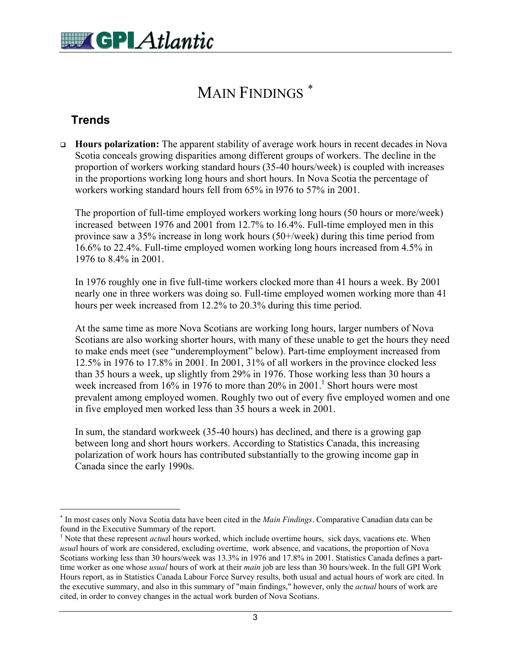### MAIN FINDINGS<sup>\*</sup>

### **Trends**

 $\overline{a}$ 

 **Hours polarization:** The apparent stability of average work hours in recent decades in Nova Scotia conceals growing disparities among different groups of workers. The decline in the proportion of workers working standard hours (35-40 hours/week) is coupled with increases in the proportions working long hours and short hours. In Nova Scotia the percentage of workers working standard hours fell from 65% in l976 to 57% in 2001.

The proportion of full-time employed workers working long hours (50 hours or more/week) increased between 1976 and 2001 from 12.7% to 16.4%. Full-time employed men in this province saw a 35% increase in long work hours (50+/week) during this time period from 16.6% to 22.4%. Full-time employed women working long hours increased from 4.5% in 1976 to 8.4% in 2001.

In 1976 roughly one in five full-time workers clocked more than 41 hours a week. By 2001 nearly one in three workers was doing so. Full-time employed women working more than 41 hours per week increased from 12.2% to 20.3% during this time period.

At the same time as more Nova Scotians are working long hours, larger numbers of Nova Scotians are also working shorter hours, with many of these unable to get the hours they need to make ends meet (see "underemployment" below). Part-time employment increased from 12.5% in 1976 to 17.8% in 2001. In 2001, 31% of all workers in the province clocked less than 35 hours a week, up slightly from 29% in 1976. Those working less than 30 hours a week increased from  $16\%$  in 1976 to more than 20% in 2001.<sup>1</sup> Short hours were most prevalent among employed women. Roughly two out of every five employed women and one in five employed men worked less than 35 hours a week in 2001.

In sum, the standard workweek (35-40 hours) has declined, and there is a growing gap between long and short hours workers. According to Statistics Canada, this increasing polarization of work hours has contributed substantially to the growing income gap in Canada since the early 1990s.

<sup>∗</sup> In most cases only Nova Scotia data have been cited in the *Main Findings*. Comparative Canadian data can be found in the Executive Summary of the report. <sup>1</sup>

<sup>&</sup>lt;sup>1</sup> Note that these represent *actual* hours worked, which include overtime hours, sick days, vacations etc. When *usua*l hours of work are considered, excluding overtime, work absence, and vacations, the proportion of Nova Scotians working less than 30 hours/week was 13.3% in 1976 and 17.8% in 2001. Statistics Canada defines a parttime worker as one whose *usual* hours of work at their *main* job are less than 30 hours/week. In the full GPI Work Hours report, as in Statistics Canada Labour Force Survey results, both usual and actual hours of work are cited. In the executive summary, and also in this summary of "main findings," however, only the *actual* hours of work are cited, in order to convey changes in the actual work burden of Nova Scotians.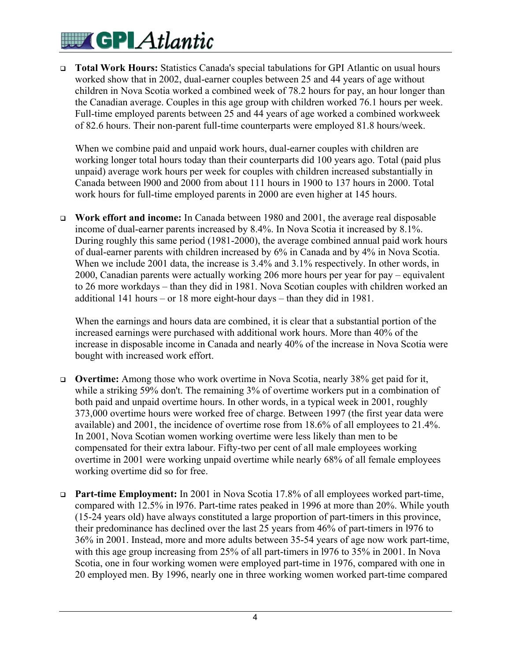# **WITH GPLAtlantic**

 **Total Work Hours:** Statistics Canada's special tabulations for GPI Atlantic on usual hours worked show that in 2002, dual-earner couples between 25 and 44 years of age without children in Nova Scotia worked a combined week of 78.2 hours for pay, an hour longer than the Canadian average. Couples in this age group with children worked 76.1 hours per week. Full-time employed parents between 25 and 44 years of age worked a combined workweek of 82.6 hours. Their non-parent full-time counterparts were employed 81.8 hours/week.

When we combine paid and unpaid work hours, dual-earner couples with children are working longer total hours today than their counterparts did 100 years ago. Total (paid plus unpaid) average work hours per week for couples with children increased substantially in Canada between l900 and 2000 from about 111 hours in 1900 to 137 hours in 2000. Total work hours for full-time employed parents in 2000 are even higher at 145 hours.

 **Work effort and income:** In Canada between 1980 and 2001, the average real disposable income of dual-earner parents increased by 8.4%. In Nova Scotia it increased by 8.1%. During roughly this same period (1981-2000), the average combined annual paid work hours of dual-earner parents with children increased by 6% in Canada and by 4% in Nova Scotia. When we include 2001 data, the increase is 3.4% and 3.1% respectively. In other words, in 2000, Canadian parents were actually working 206 more hours per year for pay – equivalent to 26 more workdays – than they did in 1981. Nova Scotian couples with children worked an additional 141 hours – or 18 more eight-hour days – than they did in 1981.

When the earnings and hours data are combined, it is clear that a substantial portion of the increased earnings were purchased with additional work hours. More than 40% of the increase in disposable income in Canada and nearly 40% of the increase in Nova Scotia were bought with increased work effort.

- **Overtime:** Among those who work overtime in Nova Scotia, nearly 38% get paid for it, while a striking 59% don't. The remaining 3% of overtime workers put in a combination of both paid and unpaid overtime hours. In other words, in a typical week in 2001, roughly 373,000 overtime hours were worked free of charge. Between 1997 (the first year data were available) and 2001, the incidence of overtime rose from 18.6% of all employees to 21.4%. In 2001, Nova Scotian women working overtime were less likely than men to be compensated for their extra labour. Fifty-two per cent of all male employees working overtime in 2001 were working unpaid overtime while nearly 68% of all female employees working overtime did so for free.
- **Part-time Employment:** In 2001 in Nova Scotia 17.8% of all employees worked part-time, compared with 12.5% in l976. Part-time rates peaked in 1996 at more than 20%. While youth (15-24 years old) have always constituted a large proportion of part-timers in this province, their predominance has declined over the last 25 years from 46% of part-timers in l976 to 36% in 2001. Instead, more and more adults between 35-54 years of age now work part-time, with this age group increasing from 25% of all part-timers in l976 to 35% in 2001. In Nova Scotia, one in four working women were employed part-time in 1976, compared with one in 20 employed men. By 1996, nearly one in three working women worked part-time compared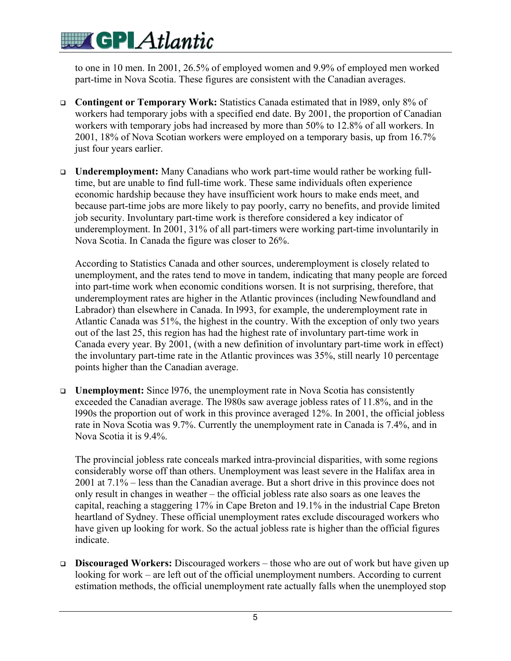to one in 10 men. In 2001, 26.5% of employed women and 9.9% of employed men worked part-time in Nova Scotia. These figures are consistent with the Canadian averages.

- **Contingent or Temporary Work:** Statistics Canada estimated that in l989, only 8% of workers had temporary jobs with a specified end date. By 2001, the proportion of Canadian workers with temporary jobs had increased by more than 50% to 12.8% of all workers. In 2001, 18% of Nova Scotian workers were employed on a temporary basis, up from 16.7% just four years earlier.
- **Underemployment:** Many Canadians who work part-time would rather be working fulltime, but are unable to find full-time work. These same individuals often experience economic hardship because they have insufficient work hours to make ends meet, and because part-time jobs are more likely to pay poorly, carry no benefits, and provide limited job security. Involuntary part-time work is therefore considered a key indicator of underemployment. In 2001, 31% of all part-timers were working part-time involuntarily in Nova Scotia. In Canada the figure was closer to 26%.

According to Statistics Canada and other sources, underemployment is closely related to unemployment, and the rates tend to move in tandem, indicating that many people are forced into part-time work when economic conditions worsen. It is not surprising, therefore, that underemployment rates are higher in the Atlantic provinces (including Newfoundland and Labrador) than elsewhere in Canada. In l993, for example, the underemployment rate in Atlantic Canada was 51%, the highest in the country. With the exception of only two years out of the last 25, this region has had the highest rate of involuntary part-time work in Canada every year. By 2001, (with a new definition of involuntary part-time work in effect) the involuntary part-time rate in the Atlantic provinces was 35%, still nearly 10 percentage points higher than the Canadian average.

 **Unemployment:** Since l976, the unemployment rate in Nova Scotia has consistently exceeded the Canadian average. The l980s saw average jobless rates of 11.8%, and in the l990s the proportion out of work in this province averaged 12%. In 2001, the official jobless rate in Nova Scotia was 9.7%. Currently the unemployment rate in Canada is 7.4%, and in Nova Scotia it is 9.4%.

The provincial jobless rate conceals marked intra-provincial disparities, with some regions considerably worse off than others. Unemployment was least severe in the Halifax area in 2001 at 7.1% – less than the Canadian average. But a short drive in this province does not only result in changes in weather – the official jobless rate also soars as one leaves the capital, reaching a staggering 17% in Cape Breton and 19.1% in the industrial Cape Breton heartland of Sydney. These official unemployment rates exclude discouraged workers who have given up looking for work. So the actual jobless rate is higher than the official figures indicate.

 **Discouraged Workers:** Discouraged workers – those who are out of work but have given up looking for work – are left out of the official unemployment numbers. According to current estimation methods, the official unemployment rate actually falls when the unemployed stop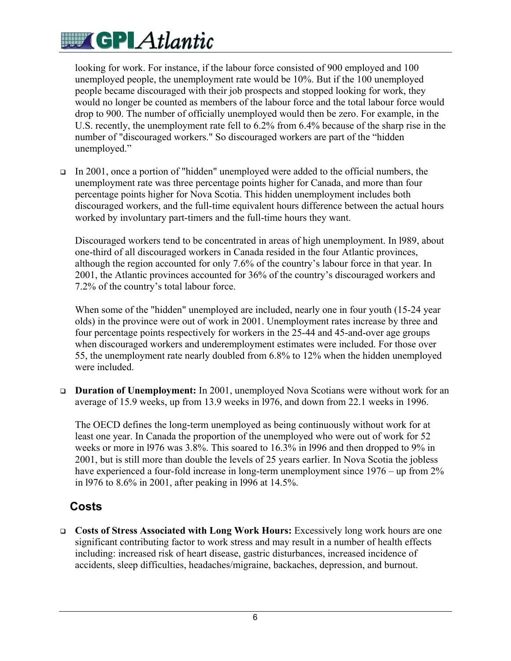looking for work. For instance, if the labour force consisted of 900 employed and 100 unemployed people, the unemployment rate would be 10%. But if the 100 unemployed people became discouraged with their job prospects and stopped looking for work, they would no longer be counted as members of the labour force and the total labour force would drop to 900. The number of officially unemployed would then be zero. For example, in the U.S. recently, the unemployment rate fell to 6.2% from 6.4% because of the sharp rise in the number of "discouraged workers." So discouraged workers are part of the "hidden unemployed."

In 2001, once a portion of "hidden" unemployed were added to the official numbers, the unemployment rate was three percentage points higher for Canada, and more than four percentage points higher for Nova Scotia. This hidden unemployment includes both discouraged workers, and the full-time equivalent hours difference between the actual hours worked by involuntary part-timers and the full-time hours they want.

Discouraged workers tend to be concentrated in areas of high unemployment. In l989, about one-third of all discouraged workers in Canada resided in the four Atlantic provinces, although the region accounted for only 7.6% of the country's labour force in that year. In 2001, the Atlantic provinces accounted for 36% of the country's discouraged workers and 7.2% of the country's total labour force.

When some of the "hidden" unemployed are included, nearly one in four youth (15-24 year) olds) in the province were out of work in 2001. Unemployment rates increase by three and four percentage points respectively for workers in the 25-44 and 45-and-over age groups when discouraged workers and underemployment estimates were included. For those over 55, the unemployment rate nearly doubled from 6.8% to 12% when the hidden unemployed were included.

 **Duration of Unemployment:** In 2001, unemployed Nova Scotians were without work for an average of 15.9 weeks, up from 13.9 weeks in l976, and down from 22.1 weeks in 1996.

The OECD defines the long-term unemployed as being continuously without work for at least one year. In Canada the proportion of the unemployed who were out of work for 52 weeks or more in l976 was 3.8%. This soared to 16.3% in l996 and then dropped to 9% in 2001, but is still more than double the levels of 25 years earlier. In Nova Scotia the jobless have experienced a four-fold increase in long-term unemployment since 1976 – up from 2% in l976 to 8.6% in 2001, after peaking in l996 at 14.5%.

### **Costs**

 **Costs of Stress Associated with Long Work Hours:** Excessively long work hours are one significant contributing factor to work stress and may result in a number of health effects including: increased risk of heart disease, gastric disturbances, increased incidence of accidents, sleep difficulties, headaches/migraine, backaches, depression, and burnout.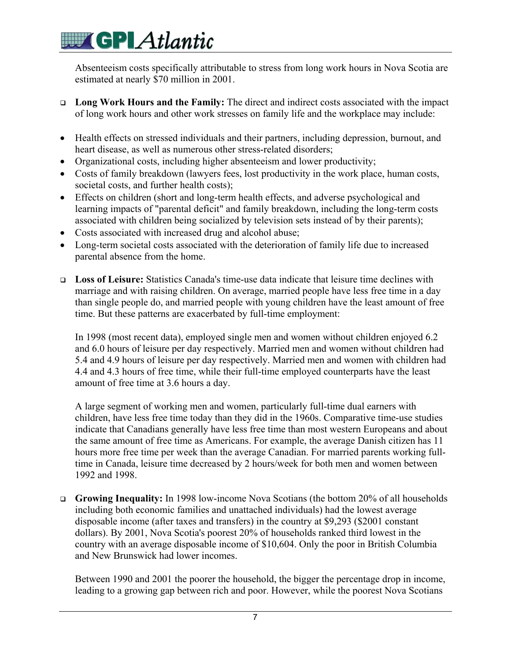Absenteeism costs specifically attributable to stress from long work hours in Nova Scotia are estimated at nearly \$70 million in 2001.

- **Long Work Hours and the Family:** The direct and indirect costs associated with the impact of long work hours and other work stresses on family life and the workplace may include:
- Health effects on stressed individuals and their partners, including depression, burnout, and heart disease, as well as numerous other stress-related disorders;
- Organizational costs, including higher absenteeism and lower productivity;
- Costs of family breakdown (lawyers fees, lost productivity in the work place, human costs, societal costs, and further health costs);
- Effects on children (short and long-term health effects, and adverse psychological and learning impacts of "parental deficit" and family breakdown, including the long-term costs associated with children being socialized by television sets instead of by their parents);
- Costs associated with increased drug and alcohol abuse;
- Long-term societal costs associated with the deterioration of family life due to increased parental absence from the home.
- **Loss of Leisure:** Statistics Canada's time-use data indicate that leisure time declines with marriage and with raising children. On average, married people have less free time in a day than single people do, and married people with young children have the least amount of free time. But these patterns are exacerbated by full-time employment:

In 1998 (most recent data), employed single men and women without children enjoyed 6.2 and 6.0 hours of leisure per day respectively. Married men and women without children had 5.4 and 4.9 hours of leisure per day respectively. Married men and women with children had 4.4 and 4.3 hours of free time, while their full-time employed counterparts have the least amount of free time at 3.6 hours a day.

A large segment of working men and women, particularly full-time dual earners with children, have less free time today than they did in the 1960s. Comparative time-use studies indicate that Canadians generally have less free time than most western Europeans and about the same amount of free time as Americans. For example, the average Danish citizen has 11 hours more free time per week than the average Canadian. For married parents working fulltime in Canada, leisure time decreased by 2 hours/week for both men and women between 1992 and 1998.

 **Growing Inequality:** In 1998 low-income Nova Scotians (the bottom 20% of all households including both economic families and unattached individuals) had the lowest average disposable income (after taxes and transfers) in the country at \$9,293 (\$2001 constant dollars). By 2001, Nova Scotia's poorest 20% of households ranked third lowest in the country with an average disposable income of \$10,604. Only the poor in British Columbia and New Brunswick had lower incomes.

Between 1990 and 2001 the poorer the household, the bigger the percentage drop in income, leading to a growing gap between rich and poor. However, while the poorest Nova Scotians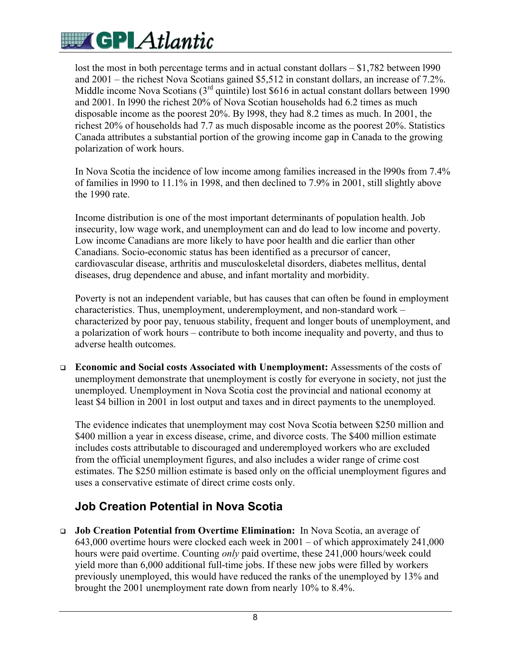lost the most in both percentage terms and in actual constant dollars – \$1,782 between 1990 and 2001 – the richest Nova Scotians gained \$5,512 in constant dollars, an increase of 7.2%. Middle income Nova Scotians (3<sup>rd</sup> quintile) lost \$616 in actual constant dollars between 1990 and 2001. In l990 the richest 20% of Nova Scotian households had 6.2 times as much disposable income as the poorest 20%. By l998, they had 8.2 times as much. In 2001, the richest 20% of households had 7.7 as much disposable income as the poorest 20%. Statistics Canada attributes a substantial portion of the growing income gap in Canada to the growing polarization of work hours.

In Nova Scotia the incidence of low income among families increased in the l990s from 7.4% of families in l990 to 11.1% in 1998, and then declined to 7.9% in 2001, still slightly above the 1990 rate.

Income distribution is one of the most important determinants of population health. Job insecurity, low wage work, and unemployment can and do lead to low income and poverty. Low income Canadians are more likely to have poor health and die earlier than other Canadians. Socio-economic status has been identified as a precursor of cancer, cardiovascular disease, arthritis and musculoskeletal disorders, diabetes mellitus, dental diseases, drug dependence and abuse, and infant mortality and morbidity.

Poverty is not an independent variable, but has causes that can often be found in employment characteristics. Thus, unemployment, underemployment, and non-standard work – characterized by poor pay, tenuous stability, frequent and longer bouts of unemployment, and a polarization of work hours – contribute to both income inequality and poverty, and thus to adverse health outcomes.

 **Economic and Social costs Associated with Unemployment:** Assessments of the costs of unemployment demonstrate that unemployment is costly for everyone in society, not just the unemployed. Unemployment in Nova Scotia cost the provincial and national economy at least \$4 billion in 2001 in lost output and taxes and in direct payments to the unemployed.

The evidence indicates that unemployment may cost Nova Scotia between \$250 million and \$400 million a year in excess disease, crime, and divorce costs. The \$400 million estimate includes costs attributable to discouraged and underemployed workers who are excluded from the official unemployment figures, and also includes a wider range of crime cost estimates. The \$250 million estimate is based only on the official unemployment figures and uses a conservative estimate of direct crime costs only.

### **Job Creation Potential in Nova Scotia**

 **Job Creation Potential from Overtime Elimination:** In Nova Scotia, an average of 643,000 overtime hours were clocked each week in 2001 – of which approximately 241,000 hours were paid overtime. Counting *only* paid overtime, these 241,000 hours/week could yield more than 6,000 additional full-time jobs. If these new jobs were filled by workers previously unemployed, this would have reduced the ranks of the unemployed by 13% and brought the 2001 unemployment rate down from nearly 10% to 8.4%.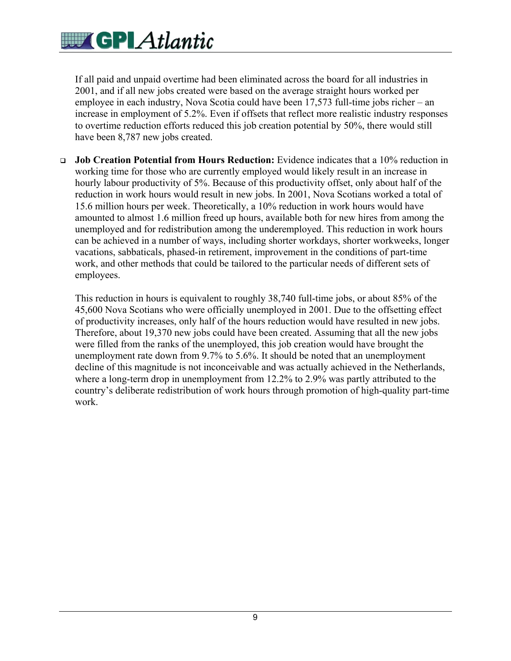If all paid and unpaid overtime had been eliminated across the board for all industries in 2001, and if all new jobs created were based on the average straight hours worked per employee in each industry, Nova Scotia could have been 17,573 full-time jobs richer – an increase in employment of 5.2%. Even if offsets that reflect more realistic industry responses to overtime reduction efforts reduced this job creation potential by 50%, there would still have been 8,787 new jobs created.

 **Job Creation Potential from Hours Reduction:** Evidence indicates that a 10% reduction in working time for those who are currently employed would likely result in an increase in hourly labour productivity of 5%. Because of this productivity offset, only about half of the reduction in work hours would result in new jobs. In 2001, Nova Scotians worked a total of 15.6 million hours per week. Theoretically, a 10% reduction in work hours would have amounted to almost 1.6 million freed up hours, available both for new hires from among the unemployed and for redistribution among the underemployed. This reduction in work hours can be achieved in a number of ways, including shorter workdays, shorter workweeks, longer vacations, sabbaticals, phased-in retirement, improvement in the conditions of part-time work, and other methods that could be tailored to the particular needs of different sets of employees.

This reduction in hours is equivalent to roughly 38,740 full-time jobs, or about 85% of the 45,600 Nova Scotians who were officially unemployed in 2001. Due to the offsetting effect of productivity increases, only half of the hours reduction would have resulted in new jobs. Therefore, about 19,370 new jobs could have been created. Assuming that all the new jobs were filled from the ranks of the unemployed, this job creation would have brought the unemployment rate down from 9.7% to 5.6%. It should be noted that an unemployment decline of this magnitude is not inconceivable and was actually achieved in the Netherlands, where a long-term drop in unemployment from 12.2% to 2.9% was partly attributed to the country's deliberate redistribution of work hours through promotion of high-quality part-time work.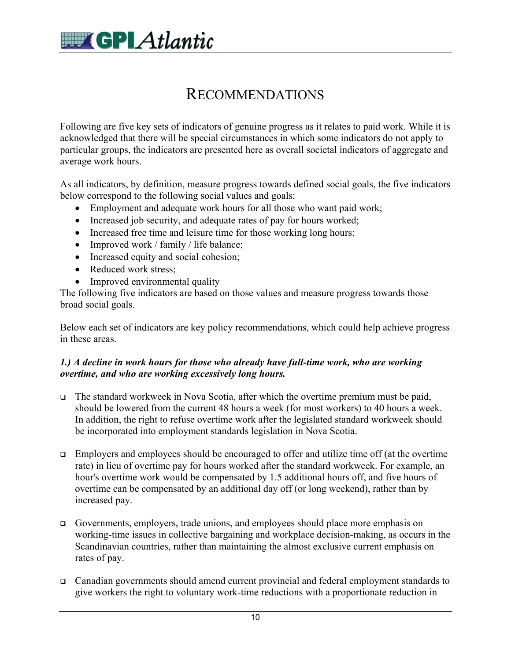

### RECOMMENDATIONS

Following are five key sets of indicators of genuine progress as it relates to paid work. While it is acknowledged that there will be special circumstances in which some indicators do not apply to particular groups, the indicators are presented here as overall societal indicators of aggregate and average work hours.

As all indicators, by definition, measure progress towards defined social goals, the five indicators below correspond to the following social values and goals:

- Employment and adequate work hours for all those who want paid work;
- Increased job security, and adequate rates of pay for hours worked;
- Increased free time and leisure time for those working long hours;
- Improved work / family / life balance;
- Increased equity and social cohesion;
- Reduced work stress:
- Improved environmental quality

The following five indicators are based on those values and measure progress towards those broad social goals.

Below each set of indicators are key policy recommendations, which could help achieve progress in these areas.

### *1.) A decline in work hours for those who already have full-time work, who are working overtime, and who are working excessively long hours.*

- The standard workweek in Nova Scotia, after which the overtime premium must be paid, should be lowered from the current 48 hours a week (for most workers) to 40 hours a week. In addition, the right to refuse overtime work after the legislated standard workweek should be incorporated into employment standards legislation in Nova Scotia.
- $\Box$  Employers and employees should be encouraged to offer and utilize time off (at the overtime rate) in lieu of overtime pay for hours worked after the standard workweek. For example, an hour's overtime work would be compensated by 1.5 additional hours off, and five hours of overtime can be compensated by an additional day off (or long weekend), rather than by increased pay.
- Governments, employers, trade unions, and employees should place more emphasis on working-time issues in collective bargaining and workplace decision-making, as occurs in the Scandinavian countries, rather than maintaining the almost exclusive current emphasis on rates of pay.
- Canadian governments should amend current provincial and federal employment standards to give workers the right to voluntary work-time reductions with a proportionate reduction in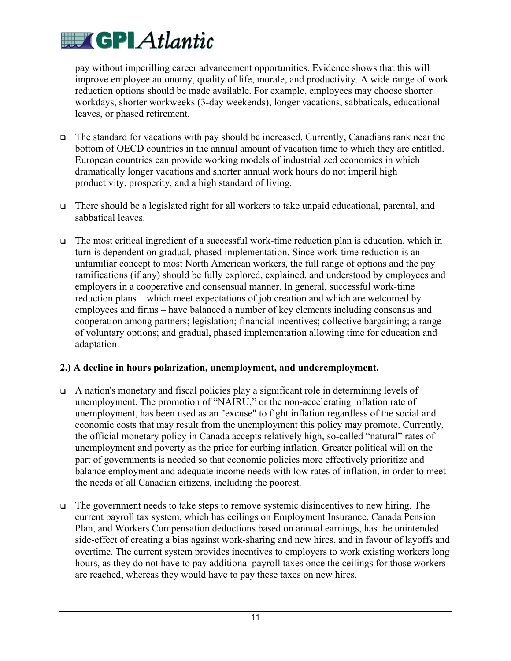pay without imperilling career advancement opportunities. Evidence shows that this will improve employee autonomy, quality of life, morale, and productivity. A wide range of work reduction options should be made available. For example, employees may choose shorter workdays, shorter workweeks (3-day weekends), longer vacations, sabbaticals, educational leaves, or phased retirement.

- The standard for vacations with pay should be increased. Currently, Canadians rank near the bottom of OECD countries in the annual amount of vacation time to which they are entitled. European countries can provide working models of industrialized economies in which dramatically longer vacations and shorter annual work hours do not imperil high productivity, prosperity, and a high standard of living.
- There should be a legislated right for all workers to take unpaid educational, parental, and sabbatical leaves.
- $\Box$  The most critical ingredient of a successful work-time reduction plan is education, which in turn is dependent on gradual, phased implementation. Since work-time reduction is an unfamiliar concept to most North American workers, the full range of options and the pay ramifications (if any) should be fully explored, explained, and understood by employees and employers in a cooperative and consensual manner. In general, successful work-time reduction plans – which meet expectations of job creation and which are welcomed by employees and firms – have balanced a number of key elements including consensus and cooperation among partners; legislation; financial incentives; collective bargaining; a range of voluntary options; and gradual, phased implementation allowing time for education and adaptation.

### **2.) A decline in hours polarization, unemployment, and underemployment.**

- A nation's monetary and fiscal policies play a significant role in determining levels of unemployment. The promotion of "NAIRU," or the non-accelerating inflation rate of unemployment, has been used as an "excuse" to fight inflation regardless of the social and economic costs that may result from the unemployment this policy may promote. Currently, the official monetary policy in Canada accepts relatively high, so-called "natural" rates of unemployment and poverty as the price for curbing inflation. Greater political will on the part of governments is needed so that economic policies more effectively prioritize and balance employment and adequate income needs with low rates of inflation, in order to meet the needs of all Canadian citizens, including the poorest.
- $\Box$  The government needs to take steps to remove systemic disincentives to new hiring. The current payroll tax system, which has ceilings on Employment Insurance, Canada Pension Plan, and Workers Compensation deductions based on annual earnings, has the unintended side-effect of creating a bias against work-sharing and new hires, and in favour of layoffs and overtime. The current system provides incentives to employers to work existing workers long hours, as they do not have to pay additional payroll taxes once the ceilings for those workers are reached, whereas they would have to pay these taxes on new hires.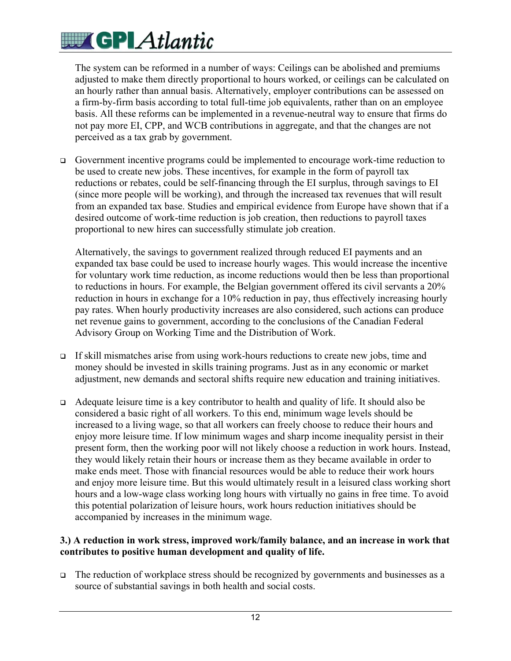## **WE GPLAtlantic**

The system can be reformed in a number of ways: Ceilings can be abolished and premiums adjusted to make them directly proportional to hours worked, or ceilings can be calculated on an hourly rather than annual basis. Alternatively, employer contributions can be assessed on a firm-by-firm basis according to total full-time job equivalents, rather than on an employee basis. All these reforms can be implemented in a revenue-neutral way to ensure that firms do not pay more EI, CPP, and WCB contributions in aggregate, and that the changes are not perceived as a tax grab by government.

 Government incentive programs could be implemented to encourage work-time reduction to be used to create new jobs. These incentives, for example in the form of payroll tax reductions or rebates, could be self-financing through the EI surplus, through savings to EI (since more people will be working), and through the increased tax revenues that will result from an expanded tax base. Studies and empirical evidence from Europe have shown that if a desired outcome of work-time reduction is job creation, then reductions to payroll taxes proportional to new hires can successfully stimulate job creation.

Alternatively, the savings to government realized through reduced EI payments and an expanded tax base could be used to increase hourly wages. This would increase the incentive for voluntary work time reduction, as income reductions would then be less than proportional to reductions in hours. For example, the Belgian government offered its civil servants a 20% reduction in hours in exchange for a 10% reduction in pay, thus effectively increasing hourly pay rates. When hourly productivity increases are also considered, such actions can produce net revenue gains to government, according to the conclusions of the Canadian Federal Advisory Group on Working Time and the Distribution of Work.

- $\Box$  If skill mismatches arise from using work-hours reductions to create new jobs, time and money should be invested in skills training programs. Just as in any economic or market adjustment, new demands and sectoral shifts require new education and training initiatives.
- Adequate leisure time is a key contributor to health and quality of life. It should also be considered a basic right of all workers. To this end, minimum wage levels should be increased to a living wage, so that all workers can freely choose to reduce their hours and enjoy more leisure time. If low minimum wages and sharp income inequality persist in their present form, then the working poor will not likely choose a reduction in work hours. Instead, they would likely retain their hours or increase them as they became available in order to make ends meet. Those with financial resources would be able to reduce their work hours and enjoy more leisure time. But this would ultimately result in a leisured class working short hours and a low-wage class working long hours with virtually no gains in free time. To avoid this potential polarization of leisure hours, work hours reduction initiatives should be accompanied by increases in the minimum wage.

### **3.) A reduction in work stress, improved work/family balance, and an increase in work that contributes to positive human development and quality of life.**

 $\Box$  The reduction of workplace stress should be recognized by governments and businesses as a source of substantial savings in both health and social costs.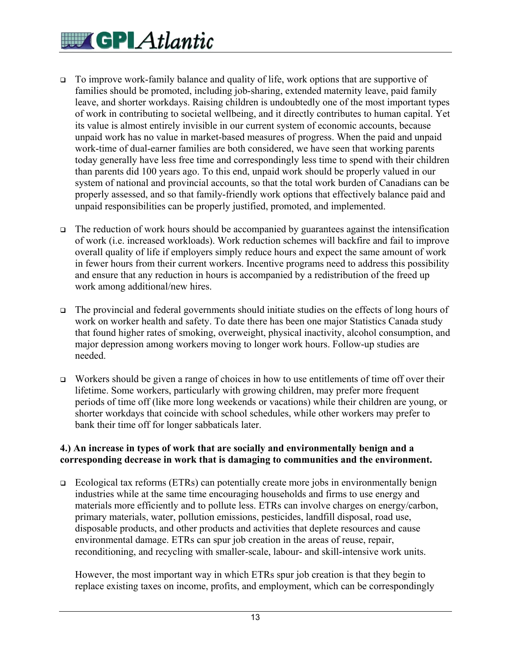# **WEIGPLAtlantic**

- To improve work-family balance and quality of life, work options that are supportive of families should be promoted, including job-sharing, extended maternity leave, paid family leave, and shorter workdays. Raising children is undoubtedly one of the most important types of work in contributing to societal wellbeing, and it directly contributes to human capital. Yet its value is almost entirely invisible in our current system of economic accounts, because unpaid work has no value in market-based measures of progress. When the paid and unpaid work-time of dual-earner families are both considered, we have seen that working parents today generally have less free time and correspondingly less time to spend with their children than parents did 100 years ago. To this end, unpaid work should be properly valued in our system of national and provincial accounts, so that the total work burden of Canadians can be properly assessed, and so that family-friendly work options that effectively balance paid and unpaid responsibilities can be properly justified, promoted, and implemented.
- $\Box$  The reduction of work hours should be accompanied by guarantees against the intensification of work (i.e. increased workloads). Work reduction schemes will backfire and fail to improve overall quality of life if employers simply reduce hours and expect the same amount of work in fewer hours from their current workers. Incentive programs need to address this possibility and ensure that any reduction in hours is accompanied by a redistribution of the freed up work among additional/new hires.
- $\Box$  The provincial and federal governments should initiate studies on the effects of long hours of work on worker health and safety. To date there has been one major Statistics Canada study that found higher rates of smoking, overweight, physical inactivity, alcohol consumption, and major depression among workers moving to longer work hours. Follow-up studies are needed.
- $\Box$  Workers should be given a range of choices in how to use entitlements of time off over their lifetime. Some workers, particularly with growing children, may prefer more frequent periods of time off (like more long weekends or vacations) while their children are young, or shorter workdays that coincide with school schedules, while other workers may prefer to bank their time off for longer sabbaticals later.

### **4.) An increase in types of work that are socially and environmentally benign and a corresponding decrease in work that is damaging to communities and the environment.**

 Ecological tax reforms (ETRs) can potentially create more jobs in environmentally benign industries while at the same time encouraging households and firms to use energy and materials more efficiently and to pollute less. ETRs can involve charges on energy/carbon, primary materials, water, pollution emissions, pesticides, landfill disposal, road use, disposable products, and other products and activities that deplete resources and cause environmental damage. ETRs can spur job creation in the areas of reuse, repair, reconditioning, and recycling with smaller-scale, labour- and skill-intensive work units.

However, the most important way in which ETRs spur job creation is that they begin to replace existing taxes on income, profits, and employment, which can be correspondingly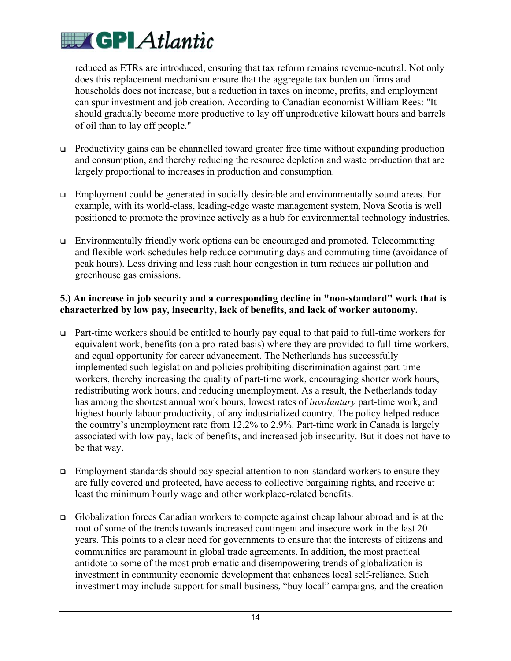reduced as ETRs are introduced, ensuring that tax reform remains revenue-neutral. Not only does this replacement mechanism ensure that the aggregate tax burden on firms and households does not increase, but a reduction in taxes on income, profits, and employment can spur investment and job creation. According to Canadian economist William Rees: "It should gradually become more productive to lay off unproductive kilowatt hours and barrels of oil than to lay off people."

- Productivity gains can be channelled toward greater free time without expanding production and consumption, and thereby reducing the resource depletion and waste production that are largely proportional to increases in production and consumption.
- Employment could be generated in socially desirable and environmentally sound areas. For example, with its world-class, leading-edge waste management system, Nova Scotia is well positioned to promote the province actively as a hub for environmental technology industries.
- Environmentally friendly work options can be encouraged and promoted. Telecommuting and flexible work schedules help reduce commuting days and commuting time (avoidance of peak hours). Less driving and less rush hour congestion in turn reduces air pollution and greenhouse gas emissions.

### **5.) An increase in job security and a corresponding decline in "non-standard" work that is characterized by low pay, insecurity, lack of benefits, and lack of worker autonomy.**

- Part-time workers should be entitled to hourly pay equal to that paid to full-time workers for equivalent work, benefits (on a pro-rated basis) where they are provided to full-time workers, and equal opportunity for career advancement. The Netherlands has successfully implemented such legislation and policies prohibiting discrimination against part-time workers, thereby increasing the quality of part-time work, encouraging shorter work hours, redistributing work hours, and reducing unemployment. As a result, the Netherlands today has among the shortest annual work hours, lowest rates of *involuntary* part-time work, and highest hourly labour productivity, of any industrialized country. The policy helped reduce the country's unemployment rate from 12.2% to 2.9%. Part-time work in Canada is largely associated with low pay, lack of benefits, and increased job insecurity. But it does not have to be that way.
- $\Box$  Employment standards should pay special attention to non-standard workers to ensure they are fully covered and protected, have access to collective bargaining rights, and receive at least the minimum hourly wage and other workplace-related benefits.
- Globalization forces Canadian workers to compete against cheap labour abroad and is at the root of some of the trends towards increased contingent and insecure work in the last 20 years. This points to a clear need for governments to ensure that the interests of citizens and communities are paramount in global trade agreements. In addition, the most practical antidote to some of the most problematic and disempowering trends of globalization is investment in community economic development that enhances local self-reliance. Such investment may include support for small business, "buy local" campaigns, and the creation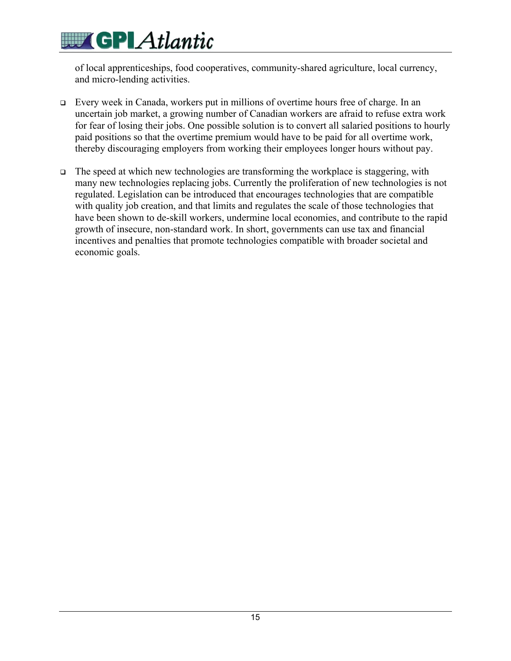# **WITH GPLAtlantic**

of local apprenticeships, food cooperatives, community-shared agriculture, local currency, and micro-lending activities.

- Every week in Canada, workers put in millions of overtime hours free of charge. In an uncertain job market, a growing number of Canadian workers are afraid to refuse extra work for fear of losing their jobs. One possible solution is to convert all salaried positions to hourly paid positions so that the overtime premium would have to be paid for all overtime work, thereby discouraging employers from working their employees longer hours without pay.
- $\Box$  The speed at which new technologies are transforming the workplace is staggering, with many new technologies replacing jobs. Currently the proliferation of new technologies is not regulated. Legislation can be introduced that encourages technologies that are compatible with quality job creation, and that limits and regulates the scale of those technologies that have been shown to de-skill workers, undermine local economies, and contribute to the rapid growth of insecure, non-standard work. In short, governments can use tax and financial incentives and penalties that promote technologies compatible with broader societal and economic goals.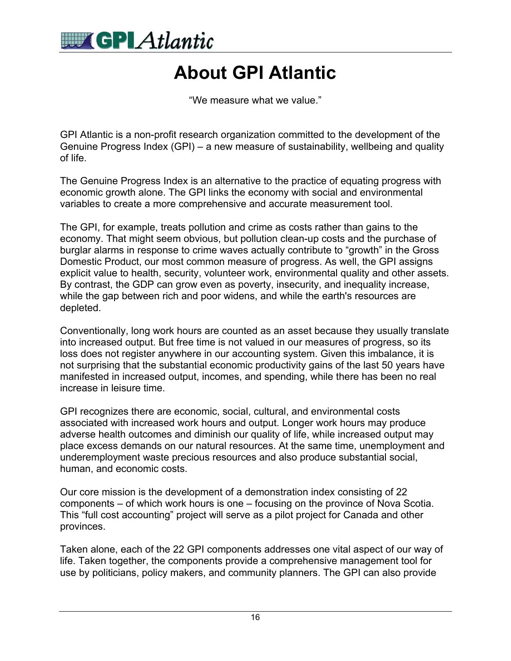

## **About GPI Atlantic**

"We measure what we value."

GPI Atlantic is a non-profit research organization committed to the development of the Genuine Progress Index (GPI) – a new measure of sustainability, wellbeing and quality of life.

The Genuine Progress Index is an alternative to the practice of equating progress with economic growth alone. The GPI links the economy with social and environmental variables to create a more comprehensive and accurate measurement tool.

The GPI, for example, treats pollution and crime as costs rather than gains to the economy. That might seem obvious, but pollution clean-up costs and the purchase of burglar alarms in response to crime waves actually contribute to "growth" in the Gross Domestic Product, our most common measure of progress. As well, the GPI assigns explicit value to health, security, volunteer work, environmental quality and other assets. By contrast, the GDP can grow even as poverty, insecurity, and inequality increase, while the gap between rich and poor widens, and while the earth's resources are depleted.

Conventionally, long work hours are counted as an asset because they usually translate into increased output. But free time is not valued in our measures of progress, so its loss does not register anywhere in our accounting system. Given this imbalance, it is not surprising that the substantial economic productivity gains of the last 50 years have manifested in increased output, incomes, and spending, while there has been no real increase in leisure time.

GPI recognizes there are economic, social, cultural, and environmental costs associated with increased work hours and output. Longer work hours may produce adverse health outcomes and diminish our quality of life, while increased output may place excess demands on our natural resources. At the same time, unemployment and underemployment waste precious resources and also produce substantial social, human, and economic costs.

Our core mission is the development of a demonstration index consisting of 22 components – of which work hours is one – focusing on the province of Nova Scotia. This "full cost accounting" project will serve as a pilot project for Canada and other provinces.

Taken alone, each of the 22 GPI components addresses one vital aspect of our way of life. Taken together, the components provide a comprehensive management tool for use by politicians, policy makers, and community planners. The GPI can also provide